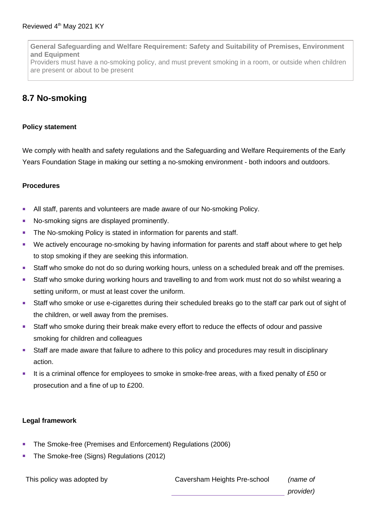**General Safeguarding and Welfare Requirement: Safety and Suitability of Premises, Environment and Equipment**

Providers must have a no-smoking policy, and must prevent smoking in a room, or outside when children are present or about to be present

## **8.7 No-smoking**

## **Policy statement**

We comply with health and safety regulations and the Safeguarding and Welfare Requirements of the Early Years Foundation Stage in making our setting a no-smoking environment - both indoors and outdoors.

## **Procedures**

- All staff, parents and volunteers are made aware of our No-smoking Policy.
- No-smoking signs are displayed prominently.
- **The No-smoking Policy is stated in information for parents and staff.**
- We actively encourage no-smoking by having information for parents and staff about where to get help to stop smoking if they are seeking this information.
- Staff who smoke do not do so during working hours, unless on a scheduled break and off the premises.
- Staff who smoke during working hours and travelling to and from work must not do so whilst wearing a setting uniform, or must at least cover the uniform.
- **Staff who smoke or use e-cigarettes during their scheduled breaks go to the staff car park out of sight of** the children, or well away from the premises.
- Staff who smoke during their break make every effort to reduce the effects of odour and passive smoking for children and colleagues
- Staff are made aware that failure to adhere to this policy and procedures may result in disciplinary action.
- It is a criminal offence for employees to smoke in smoke-free areas, with a fixed penalty of £50 or prosecution and a fine of up to £200.

## **Legal framework**

- The Smoke-free (Premises and Enforcement) Regulations (2006)
- The Smoke-free (Signs) Regulations (2012)

This policy was adopted by Caversham Heights Pre-school *(name of provider)*